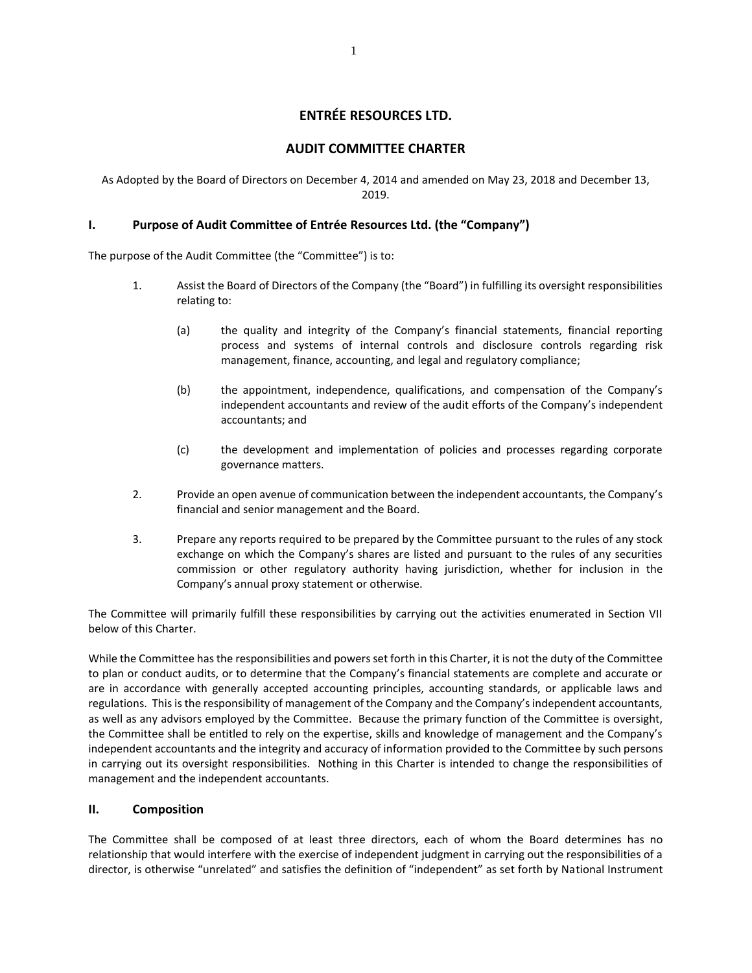# **ENTRÉE RESOURCES LTD.**

### **AUDIT COMMITTEE CHARTER**

As Adopted by the Board of Directors on December 4, 2014 and amended on May 23, 2018 and December 13, 2019.

#### **I. Purpose of Audit Committee of Entrée Resources Ltd. (the "Company")**

The purpose of the Audit Committee (the "Committee") is to:

- 1. Assist the Board of Directors of the Company (the "Board") in fulfilling its oversight responsibilities relating to:
	- (a) the quality and integrity of the Company's financial statements, financial reporting process and systems of internal controls and disclosure controls regarding risk management, finance, accounting, and legal and regulatory compliance;
	- (b) the appointment, independence, qualifications, and compensation of the Company's independent accountants and review of the audit efforts of the Company's independent accountants; and
	- (c) the development and implementation of policies and processes regarding corporate governance matters.
- 2. Provide an open avenue of communication between the independent accountants, the Company's financial and senior management and the Board.
- 3. Prepare any reports required to be prepared by the Committee pursuant to the rules of any stock exchange on which the Company's shares are listed and pursuant to the rules of any securities commission or other regulatory authority having jurisdiction, whether for inclusion in the Company's annual proxy statement or otherwise.

The Committee will primarily fulfill these responsibilities by carrying out the activities enumerated in Section VII below of this Charter.

While the Committee has the responsibilities and powers set forth in this Charter, it is not the duty of the Committee to plan or conduct audits, or to determine that the Company's financial statements are complete and accurate or are in accordance with generally accepted accounting principles, accounting standards, or applicable laws and regulations. This is the responsibility of management of the Company and the Company's independent accountants, as well as any advisors employed by the Committee. Because the primary function of the Committee is oversight, the Committee shall be entitled to rely on the expertise, skills and knowledge of management and the Company's independent accountants and the integrity and accuracy of information provided to the Committee by such persons in carrying out its oversight responsibilities. Nothing in this Charter is intended to change the responsibilities of management and the independent accountants.

#### **II. Composition**

The Committee shall be composed of at least three directors, each of whom the Board determines has no relationship that would interfere with the exercise of independent judgment in carrying out the responsibilities of a director, is otherwise "unrelated" and satisfies the definition of "independent" as set forth by National Instrument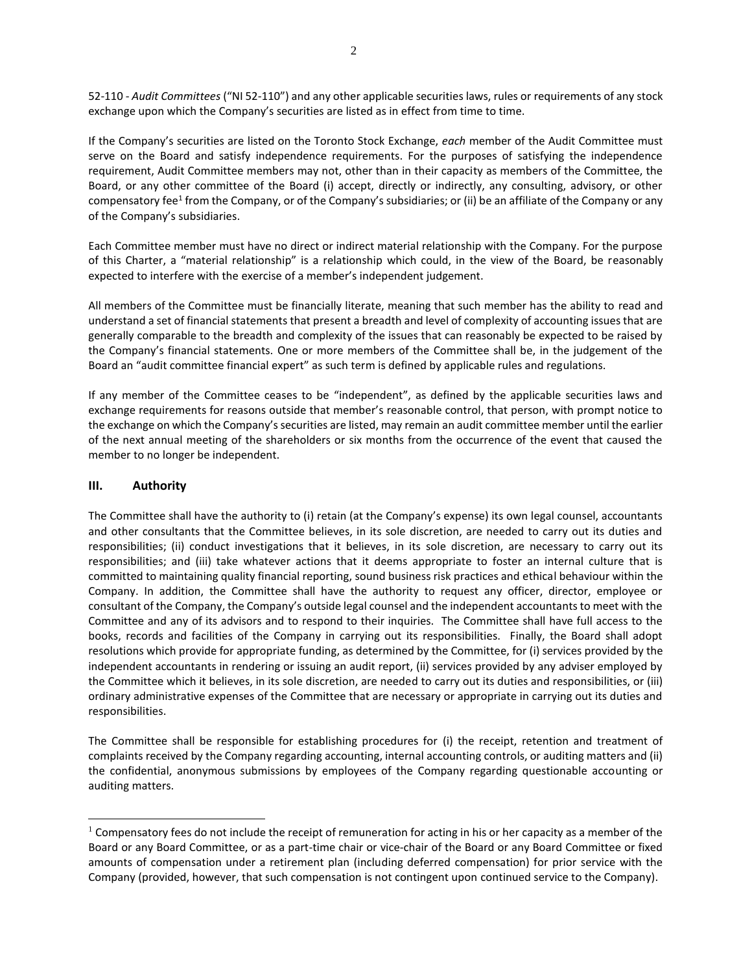52-110 - *Audit Committees* ("NI 52-110") and any other applicable securities laws, rules or requirements of any stock exchange upon which the Company's securities are listed as in effect from time to time.

If the Company's securities are listed on the Toronto Stock Exchange, *each* member of the Audit Committee must serve on the Board and satisfy independence requirements. For the purposes of satisfying the independence requirement, Audit Committee members may not, other than in their capacity as members of the Committee, the Board, or any other committee of the Board (i) accept, directly or indirectly, any consulting, advisory, or other compensatory fee<sup>1</sup> from the Company, or of the Company's subsidiaries; or (ii) be an affiliate of the Company or any of the Company's subsidiaries.

Each Committee member must have no direct or indirect material relationship with the Company. For the purpose of this Charter, a "material relationship" is a relationship which could, in the view of the Board, be reasonably expected to interfere with the exercise of a member's independent judgement.

All members of the Committee must be financially literate, meaning that such member has the ability to read and understand a set of financial statements that present a breadth and level of complexity of accounting issues that are generally comparable to the breadth and complexity of the issues that can reasonably be expected to be raised by the Company's financial statements. One or more members of the Committee shall be, in the judgement of the Board an "audit committee financial expert" as such term is defined by applicable rules and regulations.

If any member of the Committee ceases to be "independent", as defined by the applicable securities laws and exchange requirements for reasons outside that member's reasonable control, that person, with prompt notice to the exchange on which the Company's securities are listed, may remain an audit committee member until the earlier of the next annual meeting of the shareholders or six months from the occurrence of the event that caused the member to no longer be independent.

#### **III. Authority**

 $\overline{a}$ 

The Committee shall have the authority to (i) retain (at the Company's expense) its own legal counsel, accountants and other consultants that the Committee believes, in its sole discretion, are needed to carry out its duties and responsibilities; (ii) conduct investigations that it believes, in its sole discretion, are necessary to carry out its responsibilities; and (iii) take whatever actions that it deems appropriate to foster an internal culture that is committed to maintaining quality financial reporting, sound business risk practices and ethical behaviour within the Company. In addition, the Committee shall have the authority to request any officer, director, employee or consultant of the Company, the Company's outside legal counsel and the independent accountants to meet with the Committee and any of its advisors and to respond to their inquiries. The Committee shall have full access to the books, records and facilities of the Company in carrying out its responsibilities. Finally, the Board shall adopt resolutions which provide for appropriate funding, as determined by the Committee, for (i) services provided by the independent accountants in rendering or issuing an audit report, (ii) services provided by any adviser employed by the Committee which it believes, in its sole discretion, are needed to carry out its duties and responsibilities, or (iii) ordinary administrative expenses of the Committee that are necessary or appropriate in carrying out its duties and responsibilities.

The Committee shall be responsible for establishing procedures for (i) the receipt, retention and treatment of complaints received by the Company regarding accounting, internal accounting controls, or auditing matters and (ii) the confidential, anonymous submissions by employees of the Company regarding questionable accounting or auditing matters.

 $1$  Compensatory fees do not include the receipt of remuneration for acting in his or her capacity as a member of the Board or any Board Committee, or as a part-time chair or vice-chair of the Board or any Board Committee or fixed amounts of compensation under a retirement plan (including deferred compensation) for prior service with the Company (provided, however, that such compensation is not contingent upon continued service to the Company).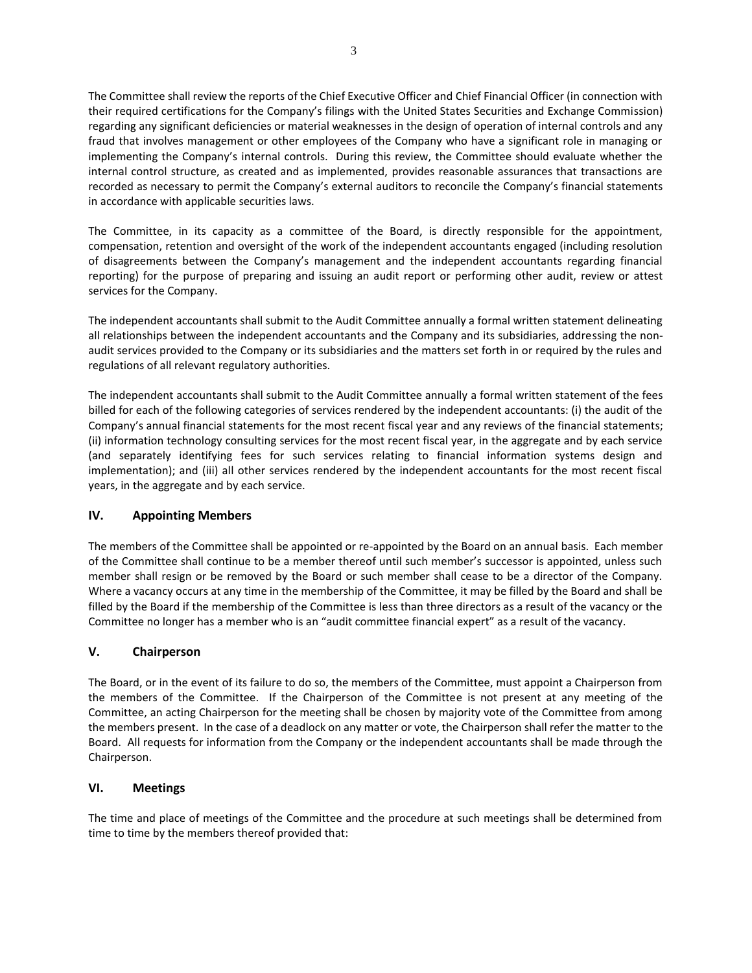The Committee shall review the reports of the Chief Executive Officer and Chief Financial Officer (in connection with their required certifications for the Company's filings with the United States Securities and Exchange Commission) regarding any significant deficiencies or material weaknesses in the design of operation of internal controls and any fraud that involves management or other employees of the Company who have a significant role in managing or implementing the Company's internal controls. During this review, the Committee should evaluate whether the internal control structure, as created and as implemented, provides reasonable assurances that transactions are recorded as necessary to permit the Company's external auditors to reconcile the Company's financial statements in accordance with applicable securities laws.

The Committee, in its capacity as a committee of the Board, is directly responsible for the appointment, compensation, retention and oversight of the work of the independent accountants engaged (including resolution of disagreements between the Company's management and the independent accountants regarding financial reporting) for the purpose of preparing and issuing an audit report or performing other audit, review or attest services for the Company.

The independent accountants shall submit to the Audit Committee annually a formal written statement delineating all relationships between the independent accountants and the Company and its subsidiaries, addressing the nonaudit services provided to the Company or its subsidiaries and the matters set forth in or required by the rules and regulations of all relevant regulatory authorities.

The independent accountants shall submit to the Audit Committee annually a formal written statement of the fees billed for each of the following categories of services rendered by the independent accountants: (i) the audit of the Company's annual financial statements for the most recent fiscal year and any reviews of the financial statements; (ii) information technology consulting services for the most recent fiscal year, in the aggregate and by each service (and separately identifying fees for such services relating to financial information systems design and implementation); and (iii) all other services rendered by the independent accountants for the most recent fiscal years, in the aggregate and by each service.

## **IV. Appointing Members**

The members of the Committee shall be appointed or re-appointed by the Board on an annual basis. Each member of the Committee shall continue to be a member thereof until such member's successor is appointed, unless such member shall resign or be removed by the Board or such member shall cease to be a director of the Company. Where a vacancy occurs at any time in the membership of the Committee, it may be filled by the Board and shall be filled by the Board if the membership of the Committee is less than three directors as a result of the vacancy or the Committee no longer has a member who is an "audit committee financial expert" as a result of the vacancy.

#### **V. Chairperson**

The Board, or in the event of its failure to do so, the members of the Committee, must appoint a Chairperson from the members of the Committee. If the Chairperson of the Committee is not present at any meeting of the Committee, an acting Chairperson for the meeting shall be chosen by majority vote of the Committee from among the members present. In the case of a deadlock on any matter or vote, the Chairperson shall refer the matter to the Board. All requests for information from the Company or the independent accountants shall be made through the Chairperson.

#### **VI. Meetings**

The time and place of meetings of the Committee and the procedure at such meetings shall be determined from time to time by the members thereof provided that: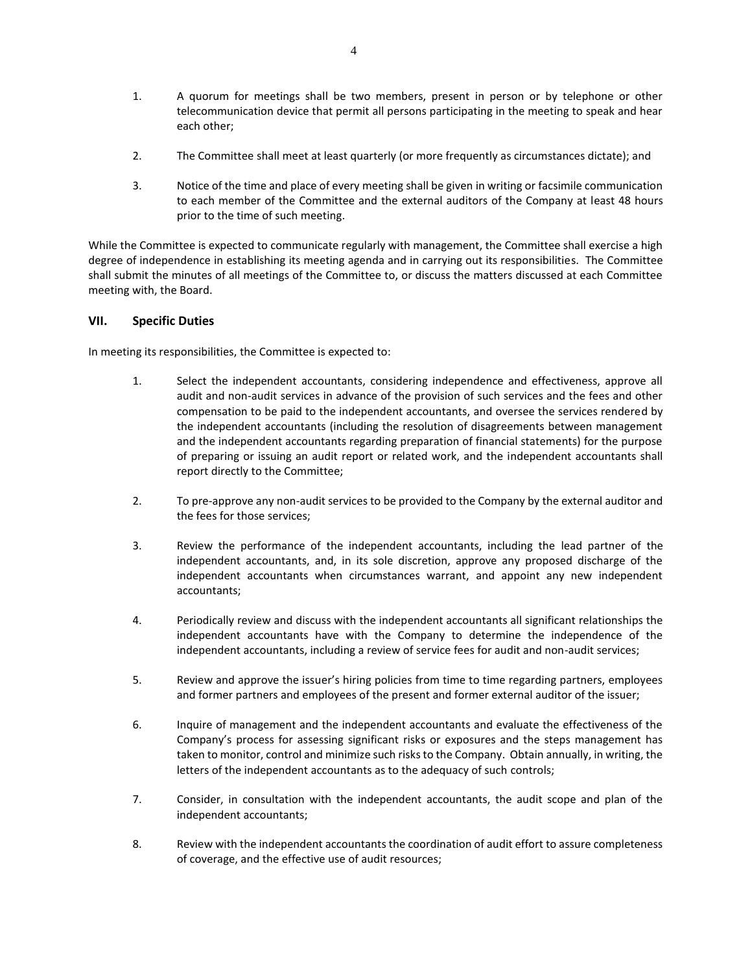- 1. A quorum for meetings shall be two members, present in person or by telephone or other telecommunication device that permit all persons participating in the meeting to speak and hear each other;
- 2. The Committee shall meet at least quarterly (or more frequently as circumstances dictate); and
- 3. Notice of the time and place of every meeting shall be given in writing or facsimile communication to each member of the Committee and the external auditors of the Company at least 48 hours prior to the time of such meeting.

While the Committee is expected to communicate regularly with management, the Committee shall exercise a high degree of independence in establishing its meeting agenda and in carrying out its responsibilities. The Committee shall submit the minutes of all meetings of the Committee to, or discuss the matters discussed at each Committee meeting with, the Board.

#### **VII. Specific Duties**

In meeting its responsibilities, the Committee is expected to:

- 1. Select the independent accountants, considering independence and effectiveness, approve all audit and non-audit services in advance of the provision of such services and the fees and other compensation to be paid to the independent accountants, and oversee the services rendered by the independent accountants (including the resolution of disagreements between management and the independent accountants regarding preparation of financial statements) for the purpose of preparing or issuing an audit report or related work, and the independent accountants shall report directly to the Committee;
- 2. To pre-approve any non-audit services to be provided to the Company by the external auditor and the fees for those services;
- 3. Review the performance of the independent accountants, including the lead partner of the independent accountants, and, in its sole discretion, approve any proposed discharge of the independent accountants when circumstances warrant, and appoint any new independent accountants;
- 4. Periodically review and discuss with the independent accountants all significant relationships the independent accountants have with the Company to determine the independence of the independent accountants, including a review of service fees for audit and non-audit services;
- 5. Review and approve the issuer's hiring policies from time to time regarding partners, employees and former partners and employees of the present and former external auditor of the issuer;
- 6. Inquire of management and the independent accountants and evaluate the effectiveness of the Company's process for assessing significant risks or exposures and the steps management has taken to monitor, control and minimize such risks to the Company. Obtain annually, in writing, the letters of the independent accountants as to the adequacy of such controls;
- 7. Consider, in consultation with the independent accountants, the audit scope and plan of the independent accountants;
- 8. Review with the independent accountants the coordination of audit effort to assure completeness of coverage, and the effective use of audit resources;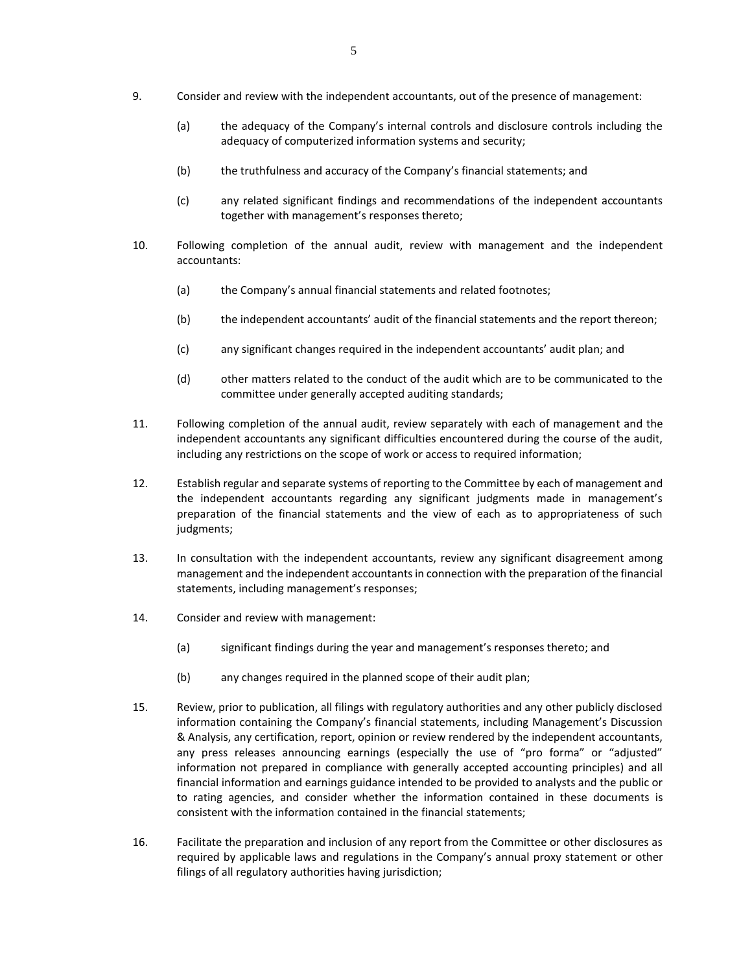- 9. Consider and review with the independent accountants, out of the presence of management:
	- (a) the adequacy of the Company's internal controls and disclosure controls including the adequacy of computerized information systems and security;
	- (b) the truthfulness and accuracy of the Company's financial statements; and
	- (c) any related significant findings and recommendations of the independent accountants together with management's responses thereto;
- 10. Following completion of the annual audit, review with management and the independent accountants:
	- (a) the Company's annual financial statements and related footnotes;
	- (b) the independent accountants' audit of the financial statements and the report thereon;
	- (c) any significant changes required in the independent accountants' audit plan; and
	- (d) other matters related to the conduct of the audit which are to be communicated to the committee under generally accepted auditing standards;
- 11. Following completion of the annual audit, review separately with each of management and the independent accountants any significant difficulties encountered during the course of the audit, including any restrictions on the scope of work or access to required information;
- 12. Establish regular and separate systems of reporting to the Committee by each of management and the independent accountants regarding any significant judgments made in management's preparation of the financial statements and the view of each as to appropriateness of such judgments;
- 13. In consultation with the independent accountants, review any significant disagreement among management and the independent accountants in connection with the preparation of the financial statements, including management's responses;
- 14. Consider and review with management:
	- (a) significant findings during the year and management's responses thereto; and
	- (b) any changes required in the planned scope of their audit plan;
- 15. Review, prior to publication, all filings with regulatory authorities and any other publicly disclosed information containing the Company's financial statements, including Management's Discussion & Analysis, any certification, report, opinion or review rendered by the independent accountants, any press releases announcing earnings (especially the use of "pro forma" or "adjusted" information not prepared in compliance with generally accepted accounting principles) and all financial information and earnings guidance intended to be provided to analysts and the public or to rating agencies, and consider whether the information contained in these documents is consistent with the information contained in the financial statements;
- 16. Facilitate the preparation and inclusion of any report from the Committee or other disclosures as required by applicable laws and regulations in the Company's annual proxy statement or other filings of all regulatory authorities having jurisdiction;